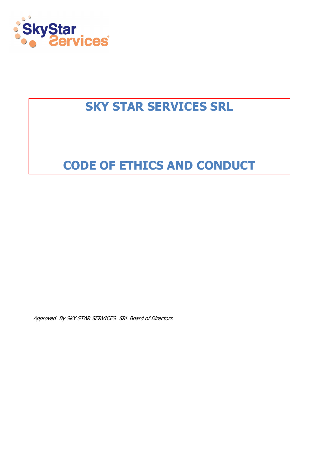

# SKY STAR SERVICES SRL

# CODE OF ETHICS AND CONDUCT

Approved By SKY STAR SERVICES SRL Board of Directors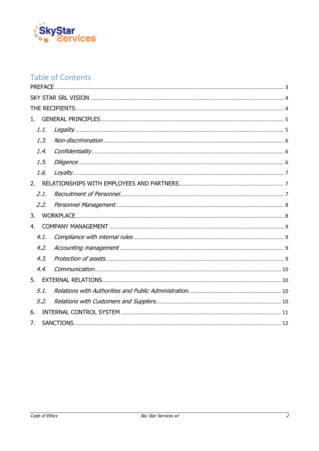

# Table of Contents

| 1    |  |  |  |
|------|--|--|--|
| 1.1. |  |  |  |
| 1.3. |  |  |  |
| 1.4. |  |  |  |
| 1.5. |  |  |  |
| 1.6. |  |  |  |
| 2.   |  |  |  |
| 2.1. |  |  |  |
| 2.2. |  |  |  |
| 3.   |  |  |  |
| 4.   |  |  |  |
| 4.1. |  |  |  |
| 4.2. |  |  |  |
| 4.3. |  |  |  |
| 4.4. |  |  |  |
| 5.   |  |  |  |
| 5.1. |  |  |  |
| 5.2. |  |  |  |
| 6.   |  |  |  |
| 7.   |  |  |  |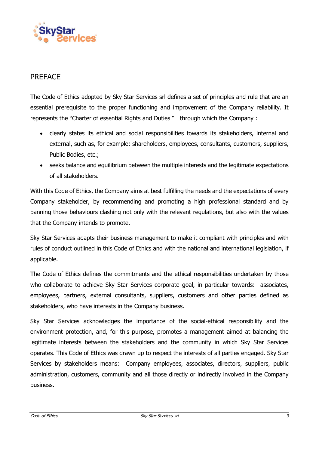

#### PREFACE

The Code of Ethics adopted by Sky Star Services srl defines a set of principles and rule that are an essential prerequisite to the proper functioning and improvement of the Company reliability. It represents the "Charter of essential Rights and Duties " through which the Company :

- clearly states its ethical and social responsibilities towards its stakeholders, internal and external, such as, for example: shareholders, employees, consultants, customers, suppliers, Public Bodies, etc.;
- seeks balance and equilibrium between the multiple interests and the legitimate expectations of all stakeholders.

With this Code of Ethics, the Company aims at best fulfilling the needs and the expectations of every Company stakeholder, by recommending and promoting a high professional standard and by banning those behaviours clashing not only with the relevant regulations, but also with the values that the Company intends to promote.

Sky Star Services adapts their business management to make it compliant with principles and with rules of conduct outlined in this Code of Ethics and with the national and international legislation, if applicable.

The Code of Ethics defines the commitments and the ethical responsibilities undertaken by those who collaborate to achieve Sky Star Services corporate goal, in particular towards: associates, employees, partners, external consultants, suppliers, customers and other parties defined as stakeholders, who have interests in the Company business.

Sky Star Services acknowledges the importance of the social-ethical responsibility and the environment protection, and, for this purpose, promotes a management aimed at balancing the legitimate interests between the stakeholders and the community in which Sky Star Services operates. This Code of Ethics was drawn up to respect the interests of all parties engaged. Sky Star Services by stakeholders means: Company employees, associates, directors, suppliers, public administration, customers, community and all those directly or indirectly involved in the Company business.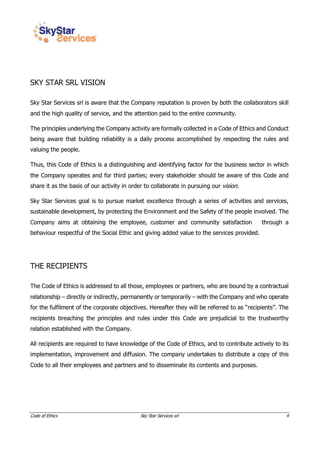

## SKY STAR SRL VISION

Sky Star Services srl is aware that the Company reputation is proven by both the collaborators skill and the high quality of service, and the attention paid to the entire community.

The principles underlying the Company activity are formally collected in a Code of Ethics and Conduct being aware that building reliability is a daily process accomplished by respecting the rules and valuing the people.

Thus, this Code of Ethics is a distinguishing and identifying factor for the business sector in which the Company operates and for third parties; every stakeholder should be aware of this Code and share it as the basis of our activity in order to collaborate in pursuing our *vision.* 

Sky Star Services goal is to pursue market excellence through a series of activities and services, sustainable development, by protecting the Environment and the Safety of the people involved. The Company aims at obtaining the employee, customer and community satisfaction through a behaviour respectful of the Social Ethic and giving added value to the services provided.

## THE RECIPIENTS

The Code of Ethics is addressed to all those, employees or partners, who are bound by a contractual relationship – directly or indirectly, permanently or temporarily – with the Company and who operate for the fulfilment of the corporate objectives. Hereafter they will be referred to as "recipients". The recipients breaching the principles and rules under this Code are prejudicial to the trustworthy relation established with the Company.

All recipients are required to have knowledge of the Code of Ethics, and to contribute actively to its implementation, improvement and diffusion. The company undertakes to distribute a copy of this Code to all their employees and partners and to disseminate its contents and purposes.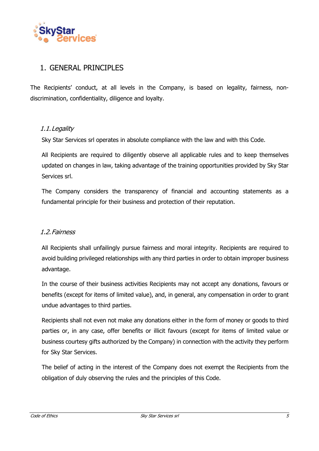

## 1. GENERAL PRINCIPLES

The Recipients' conduct, at all levels in the Company, is based on legality, fairness, nondiscrimination, confidentiality, diligence and loyalty.

#### 1.1.Legality

Sky Star Services srl operates in absolute compliance with the law and with this Code.

All Recipients are required to diligently observe all applicable rules and to keep themselves updated on changes in law, taking advantage of the training opportunities provided by Sky Star Services srl.

The Company considers the transparency of financial and accounting statements as a fundamental principle for their business and protection of their reputation.

#### 1.2.Fairness

All Recipients shall unfailingly pursue fairness and moral integrity. Recipients are required to avoid building privileged relationships with any third parties in order to obtain improper business advantage.

In the course of their business activities Recipients may not accept any donations, favours or benefits (except for items of limited value), and, in general, any compensation in order to grant undue advantages to third parties.

Recipients shall not even not make any donations either in the form of money or goods to third parties or, in any case, offer benefits or illicit favours (except for items of limited value or business courtesy gifts authorized by the Company) in connection with the activity they perform for Sky Star Services.

The belief of acting in the interest of the Company does not exempt the Recipients from the obligation of duly observing the rules and the principles of this Code.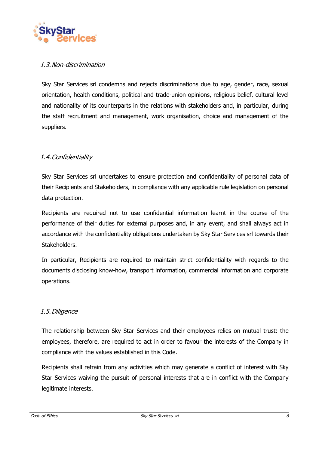

#### 1.3.Non-discrimination

Sky Star Services srl condemns and rejects discriminations due to age, gender, race, sexual orientation, health conditions, political and trade-union opinions, religious belief, cultural level and nationality of its counterparts in the relations with stakeholders and, in particular, during the staff recruitment and management, work organisation, choice and management of the suppliers.

#### 1.4.Confidentiality

Sky Star Services srl undertakes to ensure protection and confidentiality of personal data of their Recipients and Stakeholders, in compliance with any applicable rule legislation on personal data protection.

Recipients are required not to use confidential information learnt in the course of the performance of their duties for external purposes and, in any event, and shall always act in accordance with the confidentiality obligations undertaken by Sky Star Services srl towards their Stakeholders.

In particular, Recipients are required to maintain strict confidentiality with regards to the documents disclosing know-how, transport information, commercial information and corporate operations.

#### 1.5.Diligence

The relationship between Sky Star Services and their employees relies on mutual trust: the employees, therefore, are required to act in order to favour the interests of the Company in compliance with the values established in this Code.

Recipients shall refrain from any activities which may generate a conflict of interest with Sky Star Services waiving the pursuit of personal interests that are in conflict with the Company legitimate interests.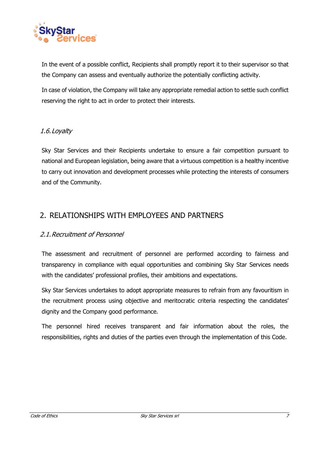

In the event of a possible conflict, Recipients shall promptly report it to their supervisor so that the Company can assess and eventually authorize the potentially conflicting activity.

In case of violation, the Company will take any appropriate remedial action to settle such conflict reserving the right to act in order to protect their interests.

#### 1.6.Loyalty

Sky Star Services and their Recipients undertake to ensure a fair competition pursuant to national and European legislation, being aware that a virtuous competition is a healthy incentive to carry out innovation and development processes while protecting the interests of consumers and of the Community.

### 2. RELATIONSHIPS WITH EMPLOYEES AND PARTNERS

#### 2.1.Recruitment of Personnel

The assessment and recruitment of personnel are performed according to fairness and transparency in compliance with equal opportunities and combining Sky Star Services needs with the candidates' professional profiles, their ambitions and expectations.

Sky Star Services undertakes to adopt appropriate measures to refrain from any favouritism in the recruitment process using objective and meritocratic criteria respecting the candidates' dignity and the Company good performance.

The personnel hired receives transparent and fair information about the roles, the responsibilities, rights and duties of the parties even through the implementation of this Code.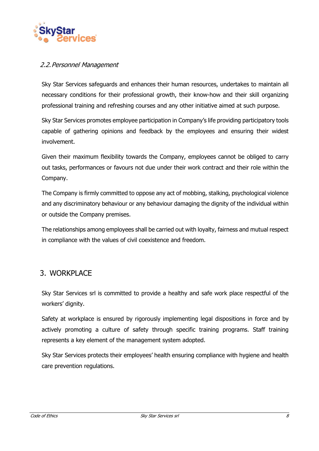

#### 2.2.Personnel Management

Sky Star Services safeguards and enhances their human resources, undertakes to maintain all necessary conditions for their professional growth, their know-how and their skill organizing professional training and refreshing courses and any other initiative aimed at such purpose.

Sky Star Services promotes employee participation in Company's life providing participatory tools capable of gathering opinions and feedback by the employees and ensuring their widest involvement.

Given their maximum flexibility towards the Company, employees cannot be obliged to carry out tasks, performances or favours not due under their work contract and their role within the Company.

The Company is firmly committed to oppose any act of mobbing, stalking, psychological violence and any discriminatory behaviour or any behaviour damaging the dignity of the individual within or outside the Company premises.

The relationships among employees shall be carried out with loyalty, fairness and mutual respect in compliance with the values of civil coexistence and freedom.

## 3. WORKPLACE

Sky Star Services srl is committed to provide a healthy and safe work place respectful of the workers' dignity.

Safety at workplace is ensured by rigorously implementing legal dispositions in force and by actively promoting a culture of safety through specific training programs. Staff training represents a key element of the management system adopted.

Sky Star Services protects their employees' health ensuring compliance with hygiene and health care prevention regulations.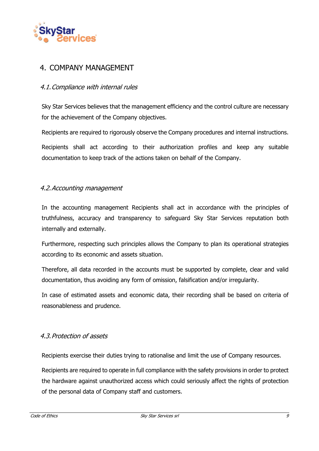

## 4. COMPANY MANAGEMENT

#### 4.1.Compliance with internal rules

Sky Star Services believes that the management efficiency and the control culture are necessary for the achievement of the Company objectives.

Recipients are required to rigorously observe the Company procedures and internal instructions.

Recipients shall act according to their authorization profiles and keep any suitable documentation to keep track of the actions taken on behalf of the Company.

#### 4.2.Accounting management

In the accounting management Recipients shall act in accordance with the principles of truthfulness, accuracy and transparency to safeguard Sky Star Services reputation both internally and externally.

Furthermore, respecting such principles allows the Company to plan its operational strategies according to its economic and assets situation.

Therefore, all data recorded in the accounts must be supported by complete, clear and valid documentation, thus avoiding any form of omission, falsification and/or irregularity.

In case of estimated assets and economic data, their recording shall be based on criteria of reasonableness and prudence.

#### 4.3.Protection of assets

Recipients exercise their duties trying to rationalise and limit the use of Company resources.

Recipients are required to operate in full compliance with the safety provisions in order to protect the hardware against unauthorized access which could seriously affect the rights of protection of the personal data of Company staff and customers.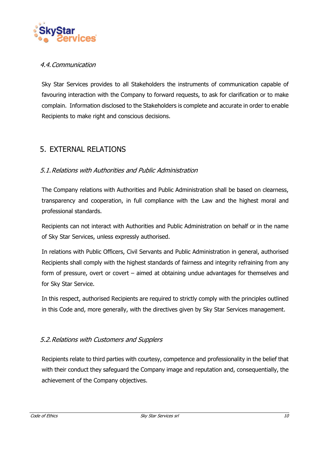

#### 4.4.Communication

Sky Star Services provides to all Stakeholders the instruments of communication capable of favouring interaction with the Company to forward requests, to ask for clarification or to make complain. Information disclosed to the Stakeholders is complete and accurate in order to enable Recipients to make right and conscious decisions.

### 5. EXTERNAL RELATIONS

#### 5.1.Relations with Authorities and Public Administration

The Company relations with Authorities and Public Administration shall be based on clearness, transparency and cooperation, in full compliance with the Law and the highest moral and professional standards.

Recipients can not interact with Authorities and Public Administration on behalf or in the name of Sky Star Services, unless expressly authorised.

In relations with Public Officers, Civil Servants and Public Administration in general, authorised Recipients shall comply with the highest standards of fairness and integrity refraining from any form of pressure, overt or covert – aimed at obtaining undue advantages for themselves and for Sky Star Service.

In this respect, authorised Recipients are required to strictly comply with the principles outlined in this Code and, more generally, with the directives given by Sky Star Services management.

#### 5.2.Relations with Customers and Supplers

Recipients relate to third parties with courtesy, competence and professionality in the belief that with their conduct they safeguard the Company image and reputation and, consequentially, the achievement of the Company objectives.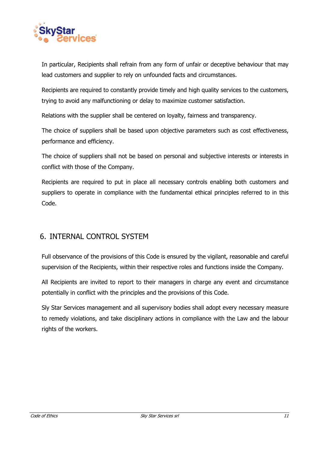

In particular, Recipients shall refrain from any form of unfair or deceptive behaviour that may lead customers and supplier to rely on unfounded facts and circumstances.

Recipients are required to constantly provide timely and high quality services to the customers, trying to avoid any malfunctioning or delay to maximize customer satisfaction.

Relations with the supplier shall be centered on loyalty, fairness and transparency.

The choice of suppliers shall be based upon objective parameters such as cost effectiveness, performance and efficiency.

The choice of suppliers shall not be based on personal and subjective interests or interests in conflict with those of the Company.

Recipients are required to put in place all necessary controls enabling both customers and suppliers to operate in compliance with the fundamental ethical principles referred to in this Code.

## 6. INTERNAL CONTROL SYSTEM

Full observance of the provisions of this Code is ensured by the vigilant, reasonable and careful supervision of the Recipients, within their respective roles and functions inside the Company.

All Recipients are invited to report to their managers in charge any event and circumstance potentially in conflict with the principles and the provisions of this Code.

Sly Star Services management and all supervisory bodies shall adopt every necessary measure to remedy violations, and take disciplinary actions in compliance with the Law and the labour rights of the workers.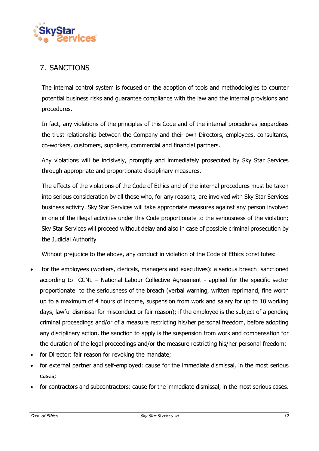

## 7. SANCTIONS

The internal control system is focused on the adoption of tools and methodologies to counter potential business risks and guarantee compliance with the law and the internal provisions and procedures.

In fact, any violations of the principles of this Code and of the internal procedures jeopardises the trust relationship between the Company and their own Directors, employees, consultants, co-workers, customers, suppliers, commercial and financial partners.

Any violations will be incisively, promptly and immediately prosecuted by Sky Star Services through appropriate and proportionate disciplinary measures.

The effects of the violations of the Code of Ethics and of the internal procedures must be taken into serious consideration by all those who, for any reasons, are involved with Sky Star Services business activity. Sky Star Services will take appropriate measures against any person involved in one of the illegal activities under this Code proportionate to the seriousness of the violation; Sky Star Services will proceed without delay and also in case of possible criminal prosecution by the Judicial Authority

Without prejudice to the above, any conduct in violation of the Code of Ethics constitutes:

- for the employees (workers, clericals, managers and executives): a serious breach sanctioned according to CCNL – National Labour Collective Agreement - applied for the specific sector proportionate to the seriousness of the breach (verbal warning, written reprimand, fine worth up to a maximum of 4 hours of income, suspension from work and salary for up to 10 working days, lawful dismissal for misconduct or fair reason); if the employee is the subject of a pending criminal proceedings and/or of a measure restricting his/her personal freedom, before adopting any disciplinary action, the sanction to apply is the suspension from work and compensation for the duration of the legal proceedings and/or the measure restricting his/her personal freedom;
- for Director: fair reason for revoking the mandate;
- for external partner and self-employed: cause for the immediate dismissal, in the most serious cases;
- for contractors and subcontractors: cause for the immediate dismissal, in the most serious cases.